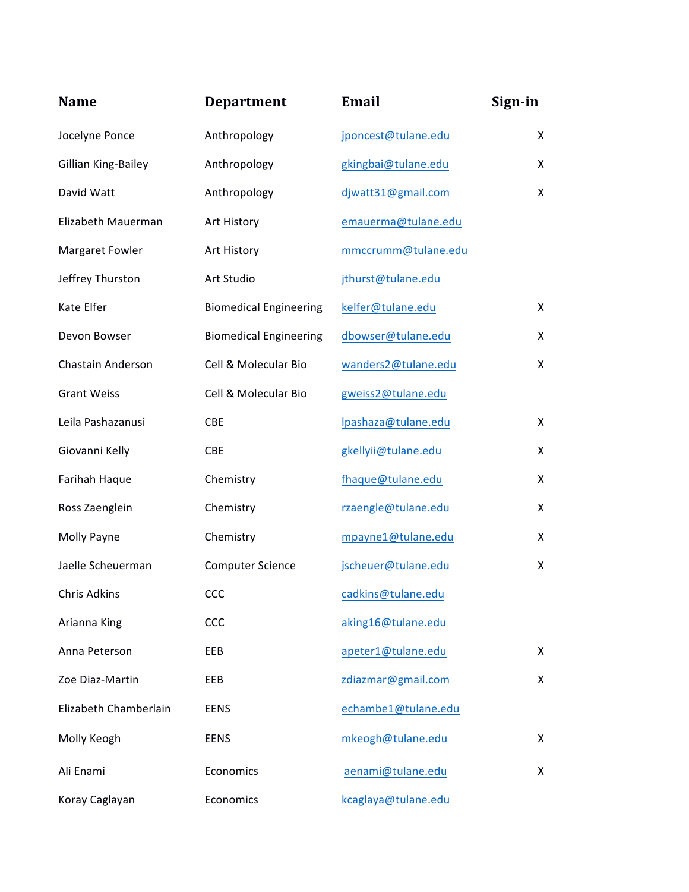| <b>Name</b>           | <b>Department</b>             | <b>Email</b>        | Sign-in |
|-----------------------|-------------------------------|---------------------|---------|
| Jocelyne Ponce        | Anthropology                  | jponcest@tulane.edu | X       |
| Gillian King-Bailey   | Anthropology                  | gkingbai@tulane.edu | X       |
| David Watt            | Anthropology                  | djwatt31@gmail.com  | X       |
| Elizabeth Mauerman    | Art History                   | emauerma@tulane.edu |         |
| Margaret Fowler       | Art History                   | mmccrumm@tulane.edu |         |
| Jeffrey Thurston      | Art Studio                    | jthurst@tulane.edu  |         |
| Kate Elfer            | <b>Biomedical Engineering</b> | kelfer@tulane.edu   | X       |
| Devon Bowser          | <b>Biomedical Engineering</b> | dbowser@tulane.edu  | X       |
| Chastain Anderson     | Cell & Molecular Bio          | wanders2@tulane.edu | X       |
| <b>Grant Weiss</b>    | Cell & Molecular Bio          | gweiss2@tulane.edu  |         |
| Leila Pashazanusi     | CBE                           | lpashaza@tulane.edu | X       |
| Giovanni Kelly        | CBE                           | gkellyii@tulane.edu | X       |
| Farihah Haque         | Chemistry                     | fhaque@tulane.edu   | X       |
| Ross Zaenglein        | Chemistry                     | rzaengle@tulane.edu | X       |
| Molly Payne           | Chemistry                     | mpayne1@tulane.edu  | X       |
| Jaelle Scheuerman     | <b>Computer Science</b>       | jscheuer@tulane.edu | X       |
| Chris Adkins          | <b>CCC</b>                    | cadkins@tulane.edu  |         |
| Arianna King          | CCC                           | aking16@tulane.edu  |         |
| Anna Peterson         | EEB                           | apeter1@tulane.edu  | X       |
| Zoe Diaz-Martin       | EEB                           | zdiazmar@gmail.com  | X       |
| Elizabeth Chamberlain | <b>EENS</b>                   | echambe1@tulane.edu |         |
| Molly Keogh           | <b>EENS</b>                   | mkeogh@tulane.edu   | X       |
| Ali Enami             | Economics                     | aenami@tulane.edu   | X       |
| Koray Caglayan        | Economics                     | kcaglaya@tulane.edu |         |